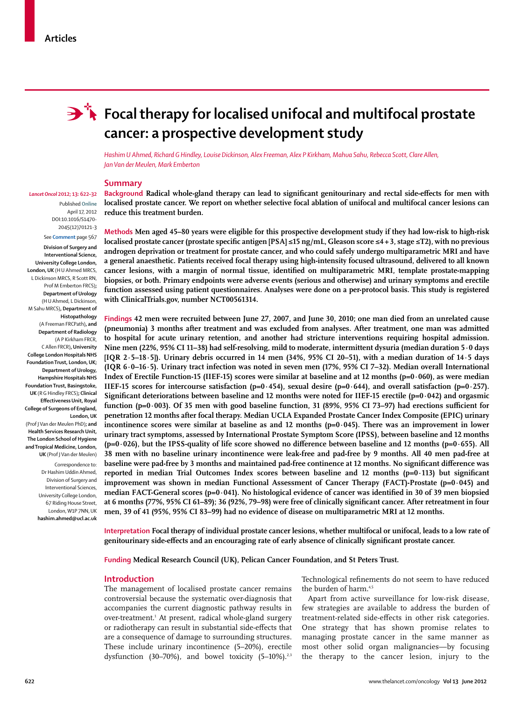# **Focal therapy for localised unifocal and multifocal prostate cancer: a prospective development study**

*Hashim U Ahmed, Richard G Hindley, Louise Dickinson, Alex Freeman, Alex P Kirkham, Mahua Sahu, Rebecca Scott, Clare Allen, Jan Van der Meulen, Mark Emberton*

### **Summary**

#### *Lancet Oncol* **2012; 13: 622–32**

Published **Online** April 17, 2012 DOI:10.1016/S1470- 2045(12)70121-3

See **Comment** page 567

**Division of Surgery and Interventional Science, University College London, London, UK** (H U Ahmed MRCS, L Dickinson MRCS, R Scott RN, Prof M Emberton FRCS)**; Department of Urology** (H U Ahmed, L Dickinson, M Sahu MRCS)**, Department of Histopathology**  (A Freeman FRCPath)**, and Department of Radiology** (A P Kirkham FRCR, C Allen FRCR)**, University College London Hospitals NHS Foundation Trust, London, UK; Department of Urology, Hampshire Hospitals NHS Foundation Trust, Basingstoke, UK** (R G Hindley FRCS)**; Clinical Eff ectiveness Unit, Royal College of Surgeons of England, London, UK**  (Prof J Van der Meulen PhD)**; and Health Services Research Unit, The London School of Hygiene and Tropical Medicine, London, UK** (Prof J Van der Meulen)

> Correspondence to: Dr Hashim Uddin Ahmed, Division of Surgery and Interventional Sciences, University College London, 67 Riding House Street, London, W1P 7NN, UK **hashim.ahmed@ucl.ac.uk**

**Background** Radical whole-gland therapy can lead to significant genitourinary and rectal side-effects for men with **localised prostate cancer. We report on whether selective focal ablation of unifocal and multifocal cancer lesions can reduce this treatment burden.**

**Methods Men aged 45–80 years were eligible for this prospective development study if they had low-risk to high-risk localised prostate cancer (prostate specifi c antigen [PSA] ≤15 ng/mL, Gleason score ≤4 + 3, stage ≤T2), with no previous androgen deprivation or treatment for prostate cancer, and who could safely undergo multiparametric MRI and have a general anaesthetic. Patients received focal therapy using high-intensity focused ultrasound, delivered to all known**  cancer lesions, with a margin of normal tissue, identified on multiparametric MRI, template prostate-mapping **biopsies, or both. Primary endpoints were adverse events (serious and otherwise) and urinary symptoms and erectile function assessed using patient questionnaires. Analyses were done on a per-protocol basis. This study is registered with ClinicalTrials.gov, number NCT00561314.**

**Findings 42 men were recruited between June 27, 2007, and June 30, 2010; one man died from an unrelated cause (pneumonia) 3 months after treatment and was excluded from analyses. After treatment, one man was admitted to hospital for acute urinary retention, and another had stricture interventions requiring hospital admission. Nine men (22%, 95% CI 11–38) had self-resolving, mild to moderate, intermittent dysuria (median duration 5·0 days [IQR 2·5–18·5]). Urinary debris occurred in 14 men (34%, 95% CI 20–51), with a median duration of 14·5 days (IQR 6·0–16·5). Urinary tract infection was noted in seven men (17%, 95% CI 7–32). Median overall International Index of Erectile Function-15 (IIEF-15) scores were similar at baseline and at 12 months (p=0·060), as were median IIEF-15 scores for intercourse satisfaction (p=0·454), sexual desire (p=0·644), and overall satisfaction (p=0·257).** Significant deteriorations between baseline and 12 months were noted for IIEF-15 erectile (p=0·042) and orgasmic **function (p=0·003). Of 35 men with good baseline function, 31 (89%, 95% CI 73–97) had erections suffi cient for penetration 12 months after focal therapy. Median UCLA Expanded Prostate Cancer Index Composite (EPIC) urinary incontinence scores were similar at baseline as and 12 months (p=0·045). There was an improvement in lower urinary tract symptoms, assessed by International Prostate Symptom Score (IPSS), between baseline and 12 months**   $(p=0.026)$ , but the IPSS-quality of life score showed no difference between baseline and 12 months  $(p=0.655)$ . All **38 men with no baseline urinary incontinence were leak-free and pad-free by 9 months. All 40 men pad-free at**  baseline were pad-free by 3 months and maintained pad-free continence at 12 months. No significant difference was reported in median Trial Outcomes Index scores between baseline and 12 months (p=0·113) but significant **improvement was shown in median Functional Assessment of Cancer Therapy (FACT)-Prostate (p=0·045) and** median FACT-General scores (p=0·041). No histological evidence of cancer was identified in 30 of 39 men biopsied at 6 months (77%, 95% CI 61–89); 36 (92%, 79–98) were free of clinically significant cancer. After retreatment in four **men, 39 of 41 (95%, 95% CI 83–99) had no evidence of disease on multiparametric MRI at 12 months.**

**Interpretation Focal therapy of individual prostate cancer lesions, whether multifocal or unifocal, leads to a low rate of genitourinary side-effects and an encouraging rate of early absence of clinically significant prostate cancer.**

**Funding Medical Research Council (UK), Pelican Cancer Foundation, and St Peters Trust.**

# **Introduction**

The management of localised prostate cancer remains controversial because the systematic over-diagnosis that accompanies the current diagnostic pathway results in over-treatment.1 At present, radical whole-gland surgery or radiotherapy can result in substantial side-effects that are a consequence of damage to surrounding structures. These include urinary incontinence (5–20%), erectile dysfunction (30–70%), and bowel toxicity  $(5-10\%)$ <sup>2,3</sup>

Technological refinements do not seem to have reduced the burden of harm.<sup>4,5</sup>

Apart from active surveillance for low-risk disease, few strategies are available to address the burden of treatment-related side-effects in other risk categories. One strategy that has shown promise relates to managing prostate cancer in the same manner as most other solid organ malignancies—by focusing the therapy to the cancer lesion, injury to the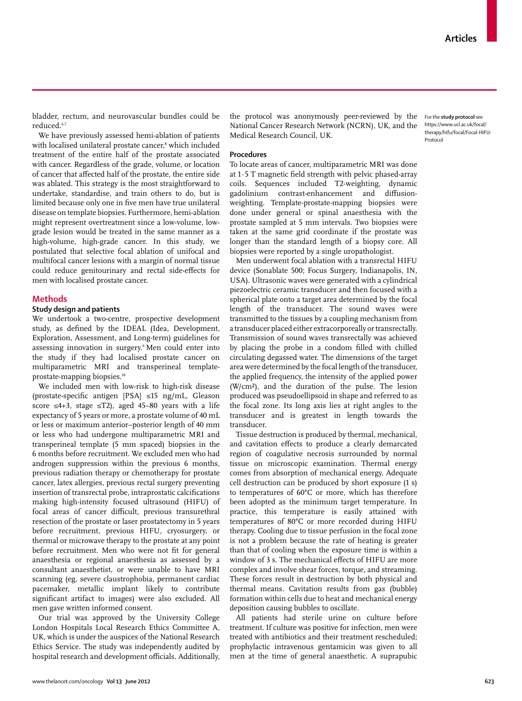bladder, rectum, and neurovascular bundles could be reduced.<sup>6,7</sup>

We have previously assessed hemi-ablation of patients with localised unilateral prostate cancer, $^{\mathrm{s}}$  which included treatment of the entire half of the prostate associated with cancer. Regardless of the grade, volume, or location of cancer that affected half of the prostate, the entire side was ablated. This strategy is the most straightforward to undertake, standardise, and train others to do, but is limited because only one in five men have true unilateral disease on template biopsies. Furthermore, hemi-ablation might represent overtreatment since a low-volume, lowgrade lesion would be treated in the same manner as a high-volume, high-grade cancer. In this study, we postulated that selective focal ablation of unifocal and multifocal cancer lesions with a margin of normal tissue could reduce genitourinary and rectal side-effects for men with localised prostate cancer.

# **Methods**

# **Study design and patients**

We undertook a two-centre, prospective development study, as defined by the IDEAL (Idea, Development, Exploration, Assessment, and Long-term) guidelines for assessing innovation in surgery.9 Men could enter into the study if they had localised prostate cancer on multiparametric MRI and transperineal templateprostate-mapping biopsies.10

We included men with low-risk to high-risk disease (prostate-specific antigen [PSA] ≤15 ng/mL, Gleason score ≤4+3, stage ≤T2), aged 45–80 years with a life expectancy of 5 years or more, a prostate volume of 40 mL or less or maximum anterior–posterior length of 40 mm or less who had undergone multiparametric MRI and transperineal template (5 mm spaced) biopsies in the 6 months before recruitment. We excluded men who had androgen suppression within the previous 6 months, previous radiation therapy or chemotherapy for prostate cancer, latex allergies, previous rectal surgery preventing insertion of transrectal probe, intraprostatic calcifications making high-intensity focused ultrasound (HIFU) of focal areas of cancer difficult, previous transurethral resection of the prostate or laser prostatectomy in 5 years before recruitment, previous HIFU, cryosurgery, or thermal or microwave therapy to the prostate at any point before recruitment. Men who were not fit for general anaesthesia or regional anaesthesia as assessed by a consultant anaesthetist, or were unable to have MRI scanning (eg, severe claustrophobia, permanent cardiac pacemaker, metallic implant likely to contribute significant artifact to images) were also excluded. All men gave written informed consent.

Our trial was approved by the University College London Hospitals Local Research Ethics Committee A, UK, which is under the auspices of the National Research Ethics Service. The study was independently audited by hospital research and development officials. Additionally, the protocol was anonymously peer-reviewed by the National Cancer Research Network (NCRN), UK, and the Medical Research Council, UK.

For the **study protocol** see https://www.ucl.ac.uk/focal/ therapy/hifu/focal/Focal-HIFU-Protocol

# **Procedures**

To locate areas of cancer, multiparametric MRI was done at  $1.5$  T magnetic field strength with pelvic phased-array coils. Sequences included T2-weighting, dynamic gadolinium contrast-enhancement and diffusionweighting. Template-prostate-mapping biopsies were done under general or spinal anaesthesia with the prostate sampled at 5 mm intervals. Two biopsies were taken at the same grid coordinate if the prostate was longer than the standard length of a biopsy core. All biopsies were reported by a single uropathologist.

Men underwent focal ablation with a transrectal HIFU device (Sonablate 500; Focus Surgery, Indianapolis, IN, USA). Ultrasonic waves were generated with a cylindrical piezoelectric ceramic transducer and then focused with a spherical plate onto a target area determined by the focal length of the transducer. The sound waves were transmitted to the tissues by a coupling mechanism from a transducer placed either extracorporeally or transrectally. Transmission of sound waves transrectally was achieved by placing the probe in a condom filled with chilled circulating degassed water. The dimensions of the target area were determined by the focal length of the transducer, the applied frequency, the intensity of the applied power (W/cm²), and the duration of the pulse. The lesion produced was pseudoellipsoid in shape and referred to as the focal zone. Its long axis lies at right angles to the transducer and is greatest in length towards the transducer.

Tissue destruction is produced by thermal, mechanical, and cavitation effects to produce a clearly demarcated region of coagulative necrosis surrounded by normal tissue on microscopic examination. Thermal energy comes from absorption of mechanical energy. Adequate cell destruction can be produced by short exposure (1 s) to temperatures of 60°C or more, which has therefore been adopted as the minimum target temperature. In practice, this temperature is easily attained with temperatures of 80°C or more recorded during HIFU therapy. Cooling due to tissue perfusion in the focal zone is not a problem because the rate of heating is greater than that of cooling when the exposure time is within a window of 3 s. The mechanical effects of HIFU are more complex and involve shear forces, torque, and streaming. These forces result in destruction by both physical and thermal means. Cavitation results from gas (bubble) formation within cells due to heat and mechanical energy deposition causing bubbles to oscillate.

All patients had sterile urine on culture before treatment. If culture was positive for infection, men were treated with antibiotics and their treatment rescheduled; prophylactic intravenous gentamicin was given to all men at the time of general anaesthetic. A suprapubic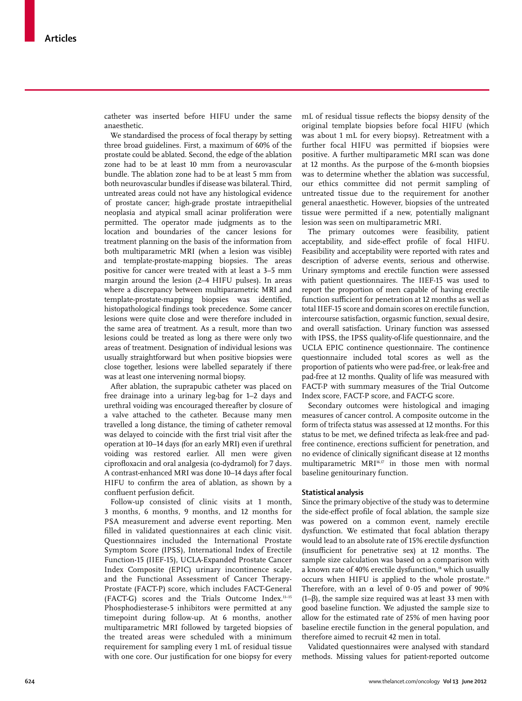catheter was inserted before HIFU under the same anaesthetic.

We standardised the process of focal therapy by setting three broad guidelines. First, a maximum of 60% of the prostate could be ablated. Second, the edge of the ablation zone had to be at least 10 mm from a neurovascular bundle. The ablation zone had to be at least 5 mm from both neurovascular bundles if disease was bilateral. Third, untreated areas could not have any histological evidence of prostate cancer; high-grade prostate intraepithelial neoplasia and atypical small acinar proliferation were permitted. The operator made judgments as to the location and boundaries of the cancer lesions for treatment planning on the basis of the information from both multiparametric MRI (when a lesion was visible) and template-prostate-mapping biopsies. The areas positive for cancer were treated with at least a 3–5 mm margin around the lesion (2–4 HIFU pulses). In areas where a discrepancy between multiparametric MRI and template-prostate-mapping biopsies was identified, histopathological findings took precedence. Some cancer lesions were quite close and were therefore included in the same area of treatment. As a result, more than two lesions could be treated as long as there were only two areas of treatment. Designation of individual lesions was usually straightforward but when positive biopsies were close together, lesions were labelled separately if there was at least one intervening normal biopsy.

After ablation, the suprapubic catheter was placed on free drainage into a urinary leg-bag for 1–2 days and urethral voiding was encouraged thereafter by closure of a valve attached to the catheter. Because many men travelled a long distance, the timing of catheter removal was delayed to coincide with the first trial visit after the operation at 10–14 days (for an early MRI) even if urethral voiding was restored earlier. All men were given ciprofloxacin and oral analgesia (co-dydramol) for 7 days. A contrast-enhanced MRI was done 10–14 days after focal HIFU to confirm the area of ablation, as shown by a confluent perfusion deficit.

Follow-up consisted of clinic visits at 1 month, 3 months, 6 months, 9 months, and 12 months for PSA measurement and adverse event reporting. Men filled in validated questionnaires at each clinic visit. Questionnaires included the International Prostate Symptom Score (IPSS), International Index of Erectile Function-15 (IIEF-15), UCLA-Expanded Prostate Cancer Index Composite (EPIC) urinary incontinence scale, and the Functional Assessment of Cancer Therapy-Prostate (FACT-P) score, which includes FACT-General (FACT-G) scores and the Trials Outcome Index.11–15 Phosphodiesterase-5 inhibitors were permitted at any timepoint during follow-up. At 6 months, another multiparametric MRI followed by targeted biopsies of the treated areas were scheduled with a minimum requirement for sampling every 1 mL of residual tissue with one core. Our justification for one biopsy for every mL of residual tissue reflects the biopsy density of the original template biopsies before focal HIFU (which was about 1 mL for every biopsy). Retreatment with a further focal HIFU was permitted if biopsies were positive. A further multiparametic MRI scan was done at 12 months. As the purpose of the 6-month biopsies was to determine whether the ablation was successful, our ethics committee did not permit sampling of untreated tissue due to the requirement for another general anaesthetic. However, biopsies of the untreated tissue were permitted if a new, potentially malignant lesion was seen on multiparametric MRI.

The primary outcomes were feasibility, patient acceptability, and side-effect profile of focal HIFU. Feasibility and acceptability were reported with rates and description of adverse events, serious and otherwise. Urinary symptoms and erectile function were assessed with patient questionnaires. The IIEF-15 was used to report the proportion of men capable of having erectile function sufficient for penetration at 12 months as well as total IIEF-15 score and domain scores on erectile function, intercourse satisfaction, orgasmic function, sexual desire, and overall satisfaction. Urinary function was assessed with IPSS, the IPSS quality-of-life questionnaire, and the UCLA EPIC continence questionnaire. The continence questionnaire included total scores as well as the proportion of patients who were pad-free, or leak-free and pad-free at 12 months. Quality of life was measured with FACT-P with summary measures of the Trial Outcome Index score, FACT-P score, and FACT-G score.

Secondary outcomes were histological and imaging measures of cancer control. A composite outcome in the form of trifecta status was assessed at 12 months. For this status to be met, we defined trifecta as leak-free and padfree continence, erections sufficient for penetration, and no evidence of clinically significant disease at 12 months multiparametric MRI<sup>16,17</sup> in those men with normal baseline genitourinary function.

# **Statistical analysis**

Since the primary objective of the study was to determine the side-effect profile of focal ablation, the sample size was powered on a common event, namely erectile dysfunction. We estimated that focal ablation therapy would lead to an absolute rate of 15% erectile dysfunction (insufficient for penetrative sex) at 12 months. The sample size calculation was based on a comparison with a known rate of 40% erectile dysfunction,<sup>18</sup> which usually occurs when HIFU is applied to the whole prostate.19 Therefore, with an  $\alpha$  level of 0.05 and power of 90%  $(1-\beta)$ , the sample size required was at least 33 men with good baseline function. We adjusted the sample size to allow for the estimated rate of 25% of men having poor baseline erectile function in the general population, and therefore aimed to recruit 42 men in total.

Validated questionnaires were analysed with standard methods. Missing values for patient-reported outcome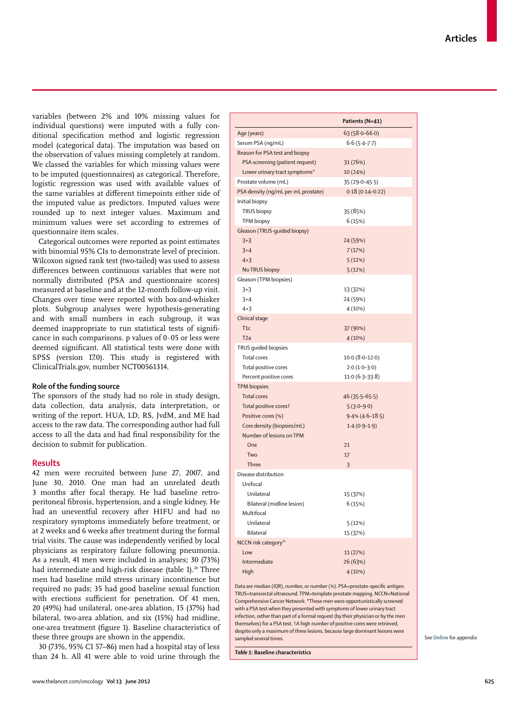variables (between 2% and 10% missing values for individual questions) were imputed with a fully conditional specification method and logistic regression model (categorical data). The imputation was based on the observation of values missing completely at random. We classed the variables for which missing values were to be imputed (questionnaires) as categorical. Therefore, logistic regression was used with available values of the same variables at different timepoints either side of the imputed value as predictors. Imputed values were rounded up to next integer values. Maximum and minimum values were set according to extremes of questionnaire item scales.

Categorical outcomes were reported as point estimates with binomial 95% CIs to demonstrate level of precision. Wilcoxon signed rank test (two-tailed) was used to assess differences between continuous variables that were not normally distributed (PSA and questionnaire scores) measured at baseline and at the 12-month follow-up visit. Changes over time were reported with box-and-whisker plots. Subgroup analyses were hypothesis-generating and with small numbers in each subgroup, it was deemed inappropriate to run statistical tests of significance in such comparisons. p values of  $0.05$  or less were deemed significant. All statistical tests were done with SPSS (version 17.0). This study is registered with ClinicalTrials.gov, number NCT00561314.

# **Role of the funding source**

The sponsors of the study had no role in study design, data collection, data analysis, data interpretation, or writing of the report. HUA, LD, RS, JvdM, and ME had access to the raw data. The corresponding author had full access to all the data and had final responsibility for the decision to submit for publication.

# **Results**

42 men were recruited between June 27, 2007, and June 30, 2010. One man had an unrelated death 3 months after focal therapy. He had baseline retroperitoneal fibrosis, hypertension, and a single kidney. He had an uneventful recovery after HIFU and had no respiratory symptoms immediately before treatment, or at 2 weeks and 6 weeks after treatment during the formal trial visits. The cause was independently verified by local physicians as respiratory failure following pneumonia. As a result, 41 men were included in analyses; 30 (73%) had intermediate and high-risk disease (table 1).<sup>20</sup> Three men had baseline mild stress urinary incontinence but required no pads; 35 had good baseline sexual function with erections sufficient for penetration. Of 41 men, 20 (49%) had unilateral, one-area ablation, 15 (37%) had bilateral, two-area ablation, and six (15%) had midline, one-area treatment (figure 1). Baseline characteristics of these three groups are shown in the appendix.

30 (73%, 95% CI 57–86) men had a hospital stay of less than 24 h. All 41 were able to void urine through the

|                                     | Patients (N=41)     |
|-------------------------------------|---------------------|
| Age (years)                         | $63(58.0 - 66.0)$   |
| Serum PSA (ng/mL)                   | $6.6(5.4 - 7.7)$    |
| Reason for PSA test and biopsy      |                     |
| PSA screening (patient request)     | 31 (76%)            |
| Lower urinary tract symptoms*       | 10 (24%)            |
| Prostate volume (mL)                | $35(29.0-45.5)$     |
| PSA density (ng/mL per mL prostate) | $0.18(0.14 - 0.22)$ |
| Initial biopsy                      |                     |
| <b>TRUS</b> biopsy                  | 35 (85%)            |
| <b>TPM</b> biopsy                   | 6(15%)              |
| Gleason (TRUS-quided biopsy)        |                     |
| $3+3$                               | 24 (59%)            |
| $3 + 4$                             | 7(17%)              |
| $4 + 3$                             | 5(12%)              |
| No TRUS biopsy                      | 5(12%)              |
| Gleason (TPM biopsies)              |                     |
| $3+3$                               | 13 (32%)            |
| $3+4$                               | 24 (59%)            |
| $4 + 3$                             | 4(10%)              |
| Clinical stage                      |                     |
| T1c                                 | 37 (90%)            |
| T2a                                 | 4(10%)              |
| TRUS quided biopsies                |                     |
| <b>Total cores</b>                  | $10.0(8.0-12.0)$    |
| Total positive cores                | $2.0(1.0-3.0)$      |
| Percent positive cores              | $11.0(6.3-33.8)$    |
| <b>TPM</b> biopsies                 |                     |
| <b>Total cores</b>                  | $46(35.5-65.5)$     |
| Total positive corest               | $5(3.0-9.0)$        |
| Positive cores (%)                  | $9.4\% (4.6-18.5)$  |
| Core density (biopsies/mL)          | $1.4(0.9-1.9)$      |
| Number of lesions on TPM            |                     |
| One                                 | 21                  |
| Two                                 | 17                  |
| Three                               | 3                   |
| Disease distribution                |                     |
| Unifocal                            |                     |
| Unilateral                          | 15 (37%)            |
| Bilateral (midline lesion)          | 6 (15%)             |
| Multifocal                          |                     |
| Unilateral                          | 5(12%)              |
| Bilateral                           | 15 (37%)            |
| NCCN risk category <sup>20</sup>    |                     |
| Low                                 | 11 (27%)            |
| Intermediate                        | 26 (63%)            |
| High                                | 4(10%)              |
|                                     |                     |

Data are median (IQR), number, or number (%). PSA=prostate-specific antigen TRUS=transrectal ultrasound. TPM=template prostate mapping. NCCN=National Comprehensive Cancer Network. **\***These men were opportunistically screened with a PSA test when they presented with symptoms of lower urinary tract infection, rather than part of a formal request (by their physician or by the men themselves) for a PSA test. †A high number of positive cores were retrieved, despite only a maximum of three lesions, because large dominant lesions were sampled several times.

*Table 1:* **Baseline characteristics**

See **Online** for appendix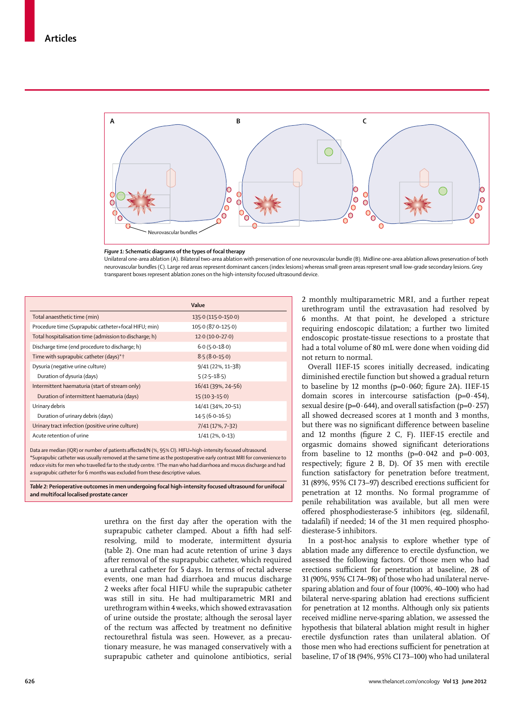

#### *Figure 1:* **Schematic diagrams of the types of focal therapy**

Unilateral one-area ablation (A). Bilateral two-area ablation with preservation of one neurovascular bundle (B). Midline one-area ablation allows preservation of both neurovascular bundles (C). Large red areas represent dominant cancers (index lesions) whereas small green areas represent small low-grade secondary lesions. Grey transparent boxes represent ablation zones on the high-intensity focused ultrasound device.

|                                                        | Value               |
|--------------------------------------------------------|---------------------|
| Total anaesthetic time (min)                           | 135.0 (115.0-150.0) |
| Procedure time (Suprapubic catheter+focal HIFU; min)   | 105.0 (87.0-125.0)  |
| Total hospitalisation time (admission to discharge; h) | $12.0(10.0-27.0)$   |
| Discharge time (end procedure to discharge; h)         | $6.0(5.0-18.0)$     |
| Time with suprapubic catheter (days)*†                 | $8.5(8.0-15.0)$     |
| Dysuria (negative urine culture)                       | 9/41 (22%, 11-38)   |
| Duration of dysuria (days)                             | $5(2.5-18.5)$       |
| Intermittent haematuria (start of stream only)         | 16/41 (39%, 24-56)  |
| Duration of intermittent haematuria (days)             | $15(10.3-15.0)$     |
| Urinary debris                                         | 14/41 (34%, 20-51)  |
| Duration of urinary debris (days)                      | $14.5(6.0-16.5)$    |
| Urinary tract infection (positive urine culture)       | 7/41 (17%, 7-32)    |
| Acute retention of urine                               | $1/41(2\%, 0-13)$   |
|                                                        |                     |

Data are median (IQR) or number of patients affected/N (%, 95% CI). HIFU=high-intensity focused ultrasound. **\***Suprapubic catheter was usually removed at the same time as the postoperative early contrast MRI for convenience to reduce visits for men who travelled far to the study centre. †The man who had diarrhoea and mucus discharge and had a suprapubic catheter for 6 months was excluded from these descriptive values.

*Table 2:* **Perioperative outcomes in men undergoing focal high-intensity focused ultrasound for unifocal and multifocal localised prostate cancer**

> urethra on the first day after the operation with the suprapubic catheter clamped. About a fifth had selfresolving, mild to moderate, intermittent dysuria (table 2). One man had acute retention of urine 3 days after removal of the suprapubic catheter, which required a urethral catheter for 5 days. In terms of rectal adverse events, one man had diarrhoea and mucus discharge 2 weeks after focal HIFU while the suprapubic catheter was still in situ. He had multiparametric MRI and urethrogram within 4 weeks, which showed extravasation of urine outside the prostate; although the serosal layer of the rectum was affected by treatment no definitive rectourethral fistula was seen. However, as a precautionary measure, he was managed conservatively with a suprapubic catheter and quinolone antibiotics, serial

2 monthly multiparametric MRI, and a further repeat urethrogram until the extravasation had resolved by 6 months. At that point, he developed a stricture requiring endoscopic dilatation; a further two limited endoscopic prostate-tissue resections to a prostate that had a total volume of 80 mL were done when voiding did not return to normal.

Overall IIEF-15 scores initially decreased, indicating diminished erectile function but showed a gradual return to baseline by 12 months ( $p=0.060$ ; figure 2A). IIEF-15 domain scores in intercourse satisfaction (p=0·454), sexual desire (p=0 $\cdot$ 644), and overall satisfaction (p=0 $\cdot$ 257) all showed decreased scores at 1 month and 3 months, but there was no significant difference between baseline and 12 months (figure 2 C, F). IIEF-15 erectile and orgasmic domains showed significant deteriorations from baseline to 12 months ( $p=0.042$  and  $p=0.003$ , respectively; figure 2 B, D). Of 35 men with erectile function satisfactory for penetration before treatment, 31 (89%, 95% CI 73-97) described erections sufficient for penetration at 12 months. No formal programme of penile rehabilitation was available, but all men were offered phosphodiesterase-5 inhibitors (eg, sildenafil, tadalafil) if needed; 14 of the 31 men required phosphodiesterase-5 inhibitors.

In a post-hoc analysis to explore whether type of ablation made any difference to erectile dysfunction, we assessed the following factors. Of those men who had erections sufficient for penetration at baseline, 28 of 31 (90%, 95% CI 74–98) of those who had unilateral nervesparing ablation and four of four (100%, 40–100) who had bilateral nerve-sparing ablation had erections sufficient for penetration at 12 months. Although only six patients received midline nerve-sparing ablation, we assessed the hypothesis that bilateral ablation might result in higher erectile dysfunction rates than unilateral ablation. Of those men who had erections sufficient for penetration at baseline, 17 of 18 (94%, 95% CI 73–100) who had unilateral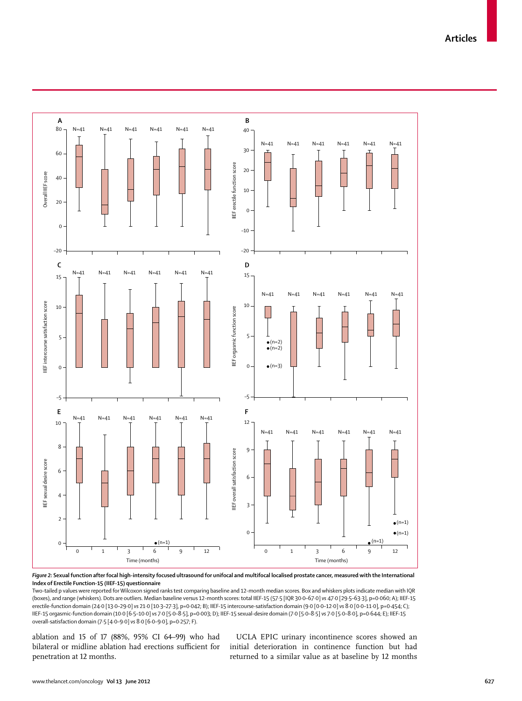**Articles**



*Figure 2:* **Sexual function after focal high-intensity focused ultrasound for unifocal and multifocal localised prostate cancer, measured with the International Index of Erectile Function-15 (IIEF-15) questionnaire**

Two-tailed p values were reported for Wilcoxon signed ranks test comparing baseline and 12-month median scores. Box and whiskers plots indicate median with IQR (boxes), and range (whiskers). Dots are outliers. Median baseline versus 12-month scores: total IIEF-15 (57·5 [IQR 30·0–67·0] *vs* 47·0 [29·5–63·3], p=0·060; A); IIEF-15 erectile-function domain (24·0 [13·0–29·0] *vs* 21·0 [10·3–27·3], p=0·042; B); IIEF-15 intercourse-satisfaction domain (9·0 [0·0–12·0] *vs* 8·0 [0·0–11·0], p=0·454; C); IIEF-15 orgasmic-function domain (10·0 [6·5–10·0] *vs* 7·0 [5·0–8·5], p=0·003; D); IIEF-15 sexual-desire domain (7·0 [5·0–8·5] *vs* 7·0 [5·0–8·0], p=0·644; E); IIEF-15 overall-satisfaction domain (7·5 [4·0–9·0] *vs* 8·0 [6·0–9·0], p=0·257; F).

ablation and 15 of 17 (88%, 95% CI 64–99) who had bilateral or midline ablation had erections sufficient for penetration at 12 months.

UCLA EPIC urinary incontinence scores showed an initial deterioration in continence function but had returned to a similar value as at baseline by 12 months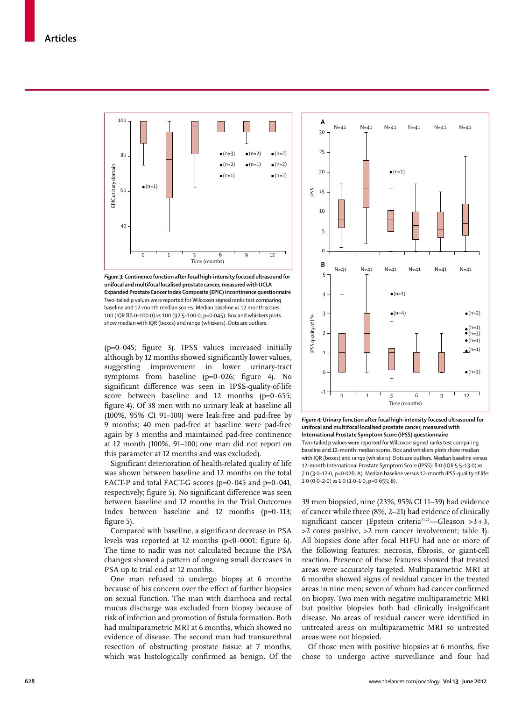

*Figure 3:* **Continence function after focal high-intensity focused ultrasound for unifocal and multifocal localised prostate cancer, measured with UCLA Expanded Prostate Cancer Index Composite (EPIC) incontinence questionnaire** Two-tailed p values were reported for Wilcoxon signed ranks test comparing baseline and 12-month median scores. Median baseline *vs* 12 month scores: 100 (IQR 86·0–100·0) *vs* 100 (92·5–100·0, p=0·045). Box and whiskers plots show median with IQR (boxes) and range (whiskers). Dots are outliers.

 $(p=0.045;$  figure 3). IPSS values increased initially although by 12 months showed significantly lower values, suggesting improvement in lower urinary-tract symptoms from baseline ( $p=0.026$ ; figure 4). No significant difference was seen in IPSS-quality-of-life score between baseline and 12 months  $(p=0.655;$ figure 4). Of 38 men with no urinary leak at baseline all (100%, 95% CI 91–100) were leak-free and pad-free by 9 months; 40 men pad-free at baseline were pad-free again by 3 months and maintained pad-free continence at 12 month (100%, 91–100; one man did not report on this parameter at 12 months and was excluded).

Significant deterioration of health-related quality of life was shown between baseline and 12 months on the total FACT-P and total FACT-G scores ( $p=0.045$  and  $p=0.041$ , respectively; figure 5). No significant difference was seen between baseline and 12 months in the Trial Outcomes Index between baseline and 12 months  $(p=0.113)$ ; figure 5).

Compared with baseline, a significant decrease in PSA levels was reported at 12 months ( $p<0.0001$ ; figure 6). The time to nadir was not calculated because the PSA changes showed a pattern of ongoing small decreases in PSA up to trial end at 12 months.

One man refused to undergo biopsy at 6 months because of his concern over the effect of further biopsies on sexual function. The man with diarrhoea and rectal mucus discharge was excluded from biopsy because of risk of infection and promotion of fistula formation. Both had multiparametric MRI at 6 months, which showed no evidence of disease. The second man had transurethral resection of obstructing prostate tissue at 7 months, which was histologically confirmed as benign. Of the



*Figure 4:* **Urinary function after focal high-intensity focused ultrasound for unifocal and multifocal localised prostate cancer, measured with International Prostate Symptom Score (IPSS) questionnaire** Two-tailed p values were reported for Wilcoxon signed ranks test comparing baseline and 12-month median scores. Box and whiskers plots show median with IQR (boxes) and range (whiskers). Dots are outliers. Median baseline versus 12-month International Prostate Symptom Score (IPSS): 8·0 (IQR 5·5–13·0) *vs* 7·0 (3·0–12·0, p=0·026; A). Median baseline versus 12-month IPSS-quality of life: 1·0 (0·0–2·0) *vs* 1·0 (1·0–1·0, p=0·655; B).

39 men biopsied, nine (23%, 95% CI 11–39) had evidence of cancer while three (8%, 2–21) had evidence of clinically significant cancer (Epstein criteria<sup>21,22</sup>—Gleason >3+3,  $>2$  cores positive,  $>2$  mm cancer involvement; table 3). All biopsies done after focal HIFU had one or more of the following features: necrosis, fibrosis, or giant-cell reaction. Presence of these features showed that treated areas were accurately targeted. Multiparametric MRI at 6 months showed signs of residual cancer in the treated areas in nine men; seven of whom had cancer confirmed on biopsy. Two men with negative multiparametric MRI but positive biopsies both had clinically insignificant disease. No areas of residual cancer were identified in untreated areas on multiparametric MRI so untreated areas were not biopsied.

Of those men with positive biopsies at 6 months, five chose to undergo active surveillance and four had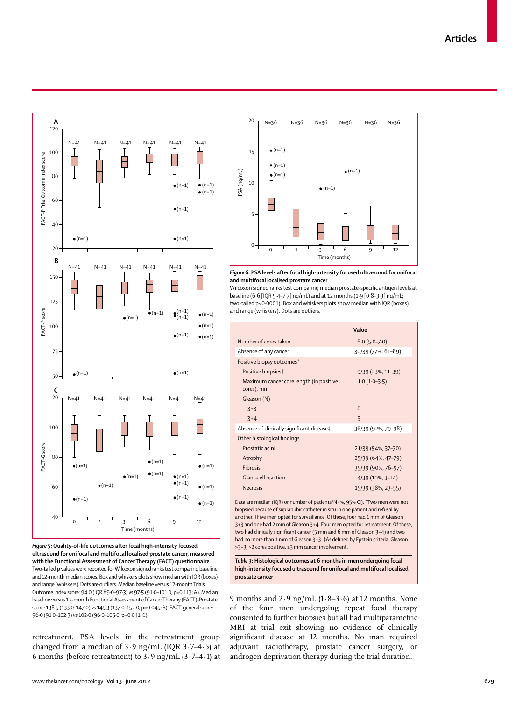

*Figure 5:* **Quality-of-life outcomes after focal high-intensity focused ultrasound for unifocal and multifocal localised prostate cancer, measured with the Functional Assessment of Cancer Therapy (FACT) questionnaire** Two-tailed p values were reported for Wilcoxon signed ranks test comparing baseline and 12-month median scores. Box and whiskers plots show median with IQR (boxes) and range (whiskers). Dots are outliers. Median baseline versus 12-month Trials Outcome Index score: 94·0 (IQR 89·0–97·3) *vs* 97·5 (91·0–101·0, p=0·113; A). Median baseline versus 12-month Functional Assessment of Cancer Therapy (FACT)-Prostate score: 138·5 (133·0–147·0) *vs* 145·3 (137·0–152·0, p=0·045; B). FACT-general score: 96·0 (91·0–102·3) *vs* 102·0 (96·0–105·0, p=0·041; C).

retreatment. PSA levels in the retreatment group changed from a median of  $3.9$  ng/mL (IQR  $3.7-4.5$ ) at 6 months (before retreatment) to  $3.9 \text{ ng/mL } (3.7-4.1)$  at



*Figure 6:* **PSA levels after focal high-intensity focused ultrasound for unifocal and multifocal localised prostate cancer**

Wilcoxon signed ranks test comparing median prostate-specific antigen levels at baseline (6·6 [IQR 5·4–7·7] ng/mL) and at 12 months (1·9 [0·8–3·3] ng/mL; two-tailed p<0·0001). Box and whiskers plots show median with IQR (boxes) and range (whiskers). Dots are outliers.

|                                                       | Value                   |
|-------------------------------------------------------|-------------------------|
| Number of cores taken                                 | $6.0(5.0 - 7.0)$        |
| Absence of any cancer                                 | 30/39 (77%, 61-89)      |
| Positive biopsy outcomes*                             |                         |
| Positive biopsies†                                    | $9/39(23\%, 11-39)$     |
| Maximum cancer core length (in positive<br>cores), mm | $1.0(1.0-3.5)$          |
| Gleason (N)                                           |                         |
| $3+3$                                                 | $6\overline{6}$         |
| $3 + 4$                                               | $\overline{\mathbf{z}}$ |
| Absence of clinically significant disease‡            | 36/39 (92%, 79-98)      |
| Other histological findings                           |                         |
| Prostatic acini                                       | 21/39 (54%, 37-70)      |
| Atrophy                                               | 25/39 (64%, 47-79)      |
| <b>Fibrosis</b>                                       | 35/39 (90%, 76-97)      |
| Giant-cell reaction                                   | 4/39 (10%, 3-24)        |
| <b>Necrosis</b>                                       | 15/39 (38%, 23–55)      |

Data are median (IQR) or number of patients/N (%, 95% CI). **\***Two men were not biopsied because of suprapubic catheter in situ in one patient and refusal by another. †Five men opted for surveillance. Of these, four had 1 mm of Gleason 3+3 and one had 2 mm of Gleason 3+4. Four men opted for retreatment. Of these, two had clinically significant cancer (5 mm and 6 mm of Gleason 3+4) and two had no more than 1 mm of Gleason 3+3. ‡As defined by Epstein criteria: Gleason >3+3, >2 cores positive, ≥3 mm cancer involvement.

*Table 3:* **Histological outcomes at 6 months in men undergoing focal high-intensity focused ultrasound for unifocal and multifocal localised prostate cancer**

9 months and 2·9 ng/mL (1·8–3·6) at 12 months. None of the four men undergoing repeat focal therapy consented to further biopsies but all had multiparametric MRI at trial exit showing no evidence of clinically significant disease at 12 months. No man required adjuvant radiotherapy, prostate cancer surgery, or androgen deprivation therapy during the trial duration.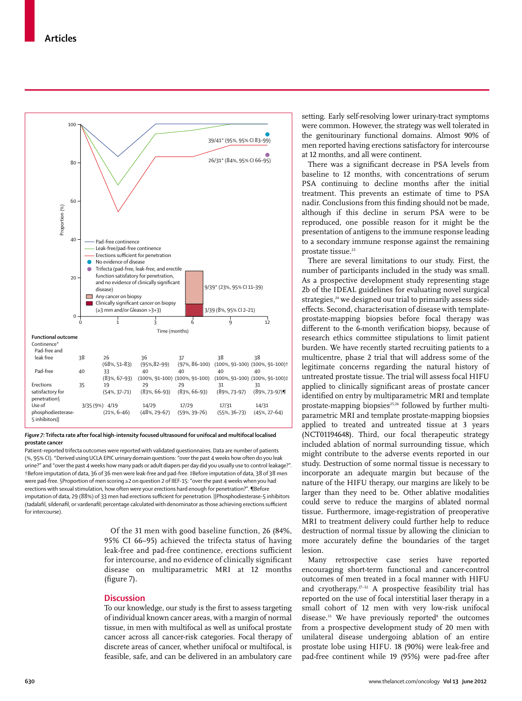

#### *Figure 7:* **Trifecta rate after focal high-intensity focused ultrasound for unifocal and multifocal localised prostate cancer**

Patient-reported trifecta outcomes were reported with validated questionnaires. Data are number of patients (%, 95% CI). \*Derived using UCLA EPIC urinary domain questions: "over the past 4 weeks how often do you leak urine?" and "over the past 4 weeks how many pads or adult diapers per day did you usually use to control leakage?". †Before imputation of data, 36 of 36 men were leak-free and pad-free. ‡Before imputation of data, 38 of 38 men were pad-free. §Proportion of men scoring ≥2 on question 2 of IIEF-15: "over the past 4 weeks when you had erections with sexual stimulation, how often were your erections hard enough for penetration?". ¶Before imputation of data, 29 (88%) of 33 men had erections sufficient for penetration. ||Phosphodiesterase-5 inhibitors (tadalafil, sildenafil, or vardenafil; percentage calculated with denominator as those achieving erections sufficient for intercourse).

> Of the 31 men with good baseline function, 26 (84%, 95% CI 66–95) achieved the trifecta status of having leak-free and pad-free continence, erections sufficient for intercourse, and no evidence of clinically significant disease on multiparametric MRI at 12 months  $(figure 7)$ .

# **Discussion**

To our knowledge, our study is the first to assess targeting of individual known cancer areas, with a margin of normal tissue, in men with multifocal as well as unifocal prostate cancer across all cancer-risk categories. Focal therapy of discrete areas of cancer, whether unifocal or multifocal, is feasible, safe, and can be delivered in an ambulatory care setting. Early self-resolving lower urinary-tract symptoms were common. However, the strategy was well tolerated in the genitourinary functional domains. Almost 90% of men reported having erections satisfactory for intercourse at 12 months, and all were continent.

There was a significant decrease in PSA levels from baseline to 12 months, with concentrations of serum PSA continuing to decline months after the initial treatment. This prevents an estimate of time to PSA nadir. Conclusions from this finding should not be made, although if this decline in serum PSA were to be reproduced, one possible reason for it might be the presentation of antigens to the immune response leading to a secondary immune response against the remaining prostate tissue.<sup>23</sup>

There are several limitations to our study. First, the number of participants included in the study was small. As a prospective development study representing stage 2b of the IDEAL guidelines for evaluating novel surgical strategies,<sup>24</sup> we designed our trial to primarily assess sideeffects. Second, characterisation of disease with templateprostate-mapping biopsies before focal therapy was different to the 6-month verification biopsy, because of research ethics committee stipulations to limit patient burden. We have recently started recruiting patients to a multicentre, phase 2 trial that will address some of the legitimate concerns regarding the natural history of untreated prostate tissue. The trial will assess focal HIFU applied to clinically significant areas of prostate cancer identified on entry by multiparametric MRI and template prostate-mapping biopsies<sup>25,26</sup> followed by further multiparametric MRI and template prostate-mapping biopsies applied to treated and untreated tissue at 3 years (NCT01194648). Third, our focal therapeutic strategy included ablation of normal surrounding tissue, which might contribute to the adverse events reported in our study. Destruction of some normal tissue is necessary to incorporate an adequate margin but because of the nature of the HIFU therapy, our margins are likely to be larger than they need to be. Other ablative modalities could serve to reduce the margins of ablated normal tissue. Furthermore, image-registration of preoperative MRI to treatment delivery could further help to reduce destruction of normal tissue by allowing the clinician to more accurately define the boundaries of the target lesion.

Many retrospective case series have reported encouraging short-term functional and cancer-control outcomes of men treated in a focal manner with HIFU and cryotherapy.<sup>27-32</sup> A prospective feasibility trial has reported on the use of focal interstitial laser therapy in a small cohort of 12 men with very low-risk unifocal disease.<sup>33</sup> We have previously reported<sup>8</sup> the outcomes from a prospective development study of 20 men with unilateral disease undergoing ablation of an entire prostate lobe using HIFU. 18 (90%) were leak-free and pad-free continent while 19 (95%) were pad-free after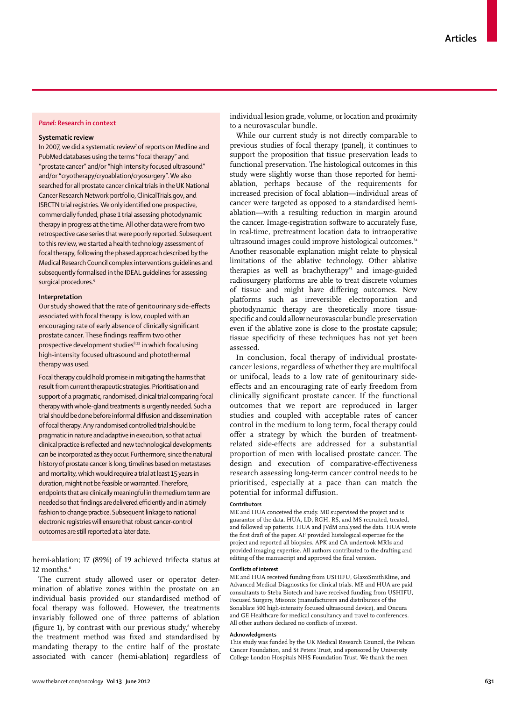# *Panel:* **Research in context**

# **Systematic review**

In 2007, we did a systematic review<sup>7</sup> of reports on Medline and PubMed databases using the terms "focal therapy" and "prostate cancer" and/or "high intensity focused ultrasound" and/or "cryotherapy/cryoablation/cryosurgery". We also searched for all prostate cancer clinical trials in the UK National Cancer Research Network portfolio, ClinicalTrials.gov, and ISRCTN trial registries. We only identified one prospective, commercially funded, phase 1 trial assessing photodynamic therapy in progress at the time. All other data were from two retrospective case series that were poorly reported. Subsequent to this review, we started a health technology assessment of focal therapy, following the phased approach described by the Medical Research Council complex interventions guidelines and subsequently formalised in the IDEAL guidelines for assessing surgical procedures.<sup>9</sup>

### **Interpretation**

Our study showed that the rate of genitourinary side-effects associated with focal therapy is low, coupled with an encouraging rate of early absence of clinically significant prostate cancer. These findings reaffirm two other prospective development studies<sup>8,33</sup> in which focal using high-intensity focused ultrasound and photothermal therapy was used.

Focal therapy could hold promise in mitigating the harms that result from current therapeutic strategies. Prioritisation and support of a pragmatic, randomised, clinical trial comparing focal therapy with whole-gland treatments is urgently needed. Such a trial should be done before informal diffusion and dissemination of focal therapy. Any randomised controlled trial should be pragmatic in nature and adaptive in execution, so that actual clinical practice is reflected and new technological developments can be incorporated as they occur. Furthermore, since the natural history of prostate cancer is long, timelines based on metastases and mortality, which would require a trial at least 15 years in duration, might not be feasible or warranted. Therefore, endpoints that are clinically meaningful in the medium term are needed so that findings are delivered efficiently and in a timely fashion to change practice. Subsequent linkage to national electronic registries will ensure that robust cancer-control outcomes are still reported at a later date.

hemi-ablation; 17 (89%) of 19 achieved trifecta status at 12 months.<sup>8</sup>

The current study allowed user or operator determination of ablative zones within the prostate on an individual basis provided our standardised method of focal therapy was followed. However, the treatments invariably followed one of three patterns of ablation (figure 1), by contrast with our previous study,<sup>8</sup> whereby the treatment method was fixed and standardised by mandating therapy to the entire half of the prostate associated with cancer (hemi-ablation) regardless of

individual lesion grade, volume, or location and proximity to a neurovascular bundle.

While our current study is not directly comparable to previous studies of focal therapy (panel), it continues to support the proposition that tissue preservation leads to functional preservation. The histological outcomes in this study were slightly worse than those reported for hemiablation, perhaps because of the requirements for increased precision of focal ablation—individual areas of cancer were targeted as opposed to a standardised hemiablation—with a resulting reduction in margin around the cancer. Image-registration software to accurately fuse, in real-time, pretreatment location data to intraoperative ultrasound images could improve histological outcomes.<sup>34</sup> Another reasonable explanation might relate to physical limitations of the ablative technology. Other ablative therapies as well as brachytherapy<sup>35</sup> and image-guided radiosurgery platforms are able to treat discrete volumes of tissue and might have differing outcomes. New platforms such as irreversible electroporation and photodynamic therapy are theoretically more tissuespecific and could allow neurovascular bundle preservation even if the ablative zone is close to the prostate capsule; tissue specificity of these techniques has not yet been assessed.

In conclusion, focal therapy of individual prostatecancer lesions, regardless of whether they are multifocal or unifocal, leads to a low rate of genitourinary sideeffects and an encouraging rate of early freedom from clinically significant prostate cancer. If the functional outcomes that we report are reproduced in larger studies and coupled with acceptable rates of cancer control in the medium to long term, focal therapy could offer a strategy by which the burden of treatmentrelated side-effects are addressed for a substantial proportion of men with localised prostate cancer. The design and execution of comparative-effectiveness research assessing long-term cancer control needs to be prioritised, especially at a pace than can match the potential for informal diffusion.

#### **Contributors**

ME and HUA conceived the study. ME supervised the project and is guarantor of the data. HUA, LD, RGH, RS, and MS recruited, treated, and followed up patients. HUA and JVdM analysed the data. HUA wrote the first draft of the paper. AF provided histological expertise for the project and reported all biopsies. APK and CA undertook MRIs and provided imaging expertise. All authors contributed to the drafting and editing of the manuscript and approved the final version.

#### **Conflicts of interest**

ME and HUA received funding from USHIFU, GlaxoSmithKline, and Advanced Medical Diagnostics for clinical trials. ME and HUA are paid consultants to Steba Biotech and have received funding from USHIFU, Focused Surgery, Misonix (manufacturers and distributors of the Sonablate 500 high-intensity focused ultrasound device), and Oncura and GE Healthcare for medical consultancy and travel to conferences. All other authors declared no conflicts of interest.

#### **Acknowledgments**

This study was funded by the UK Medical Research Council, the Pelican Cancer Foundation, and St Peters Trust, and sponsored by University College London Hospitals NHS Foundation Trust. We thank the men